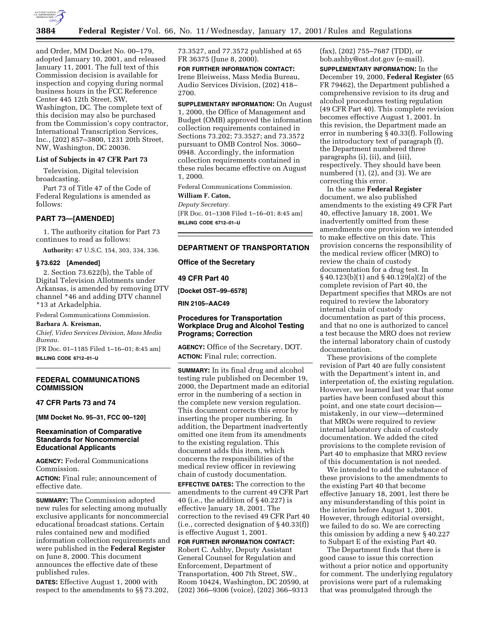

and Order, MM Docket No. 00–179, adopted January 10, 2001, and released January 11, 2001. The full text of this Commission decision is available for inspection and copying during normal business hours in the FCC Reference Center 445 12th Street, SW, Washington, DC. The complete text of this decision may also be purchased from the Commission's copy contractor, International Transcription Services, Inc., (202) 857–3800, 1231 20th Street, NW, Washington, DC 20036.

#### **List of Subjects in 47 CFR Part 73**

Television, Digital television broadcasting.

Part 73 of Title 47 of the Code of Federal Regulations is amended as follows:

### **PART 73—[AMENDED]**

1. The authority citation for Part 73 continues to read as follows:

**Authority:** 47 U.S.C. 154, 303, 334, 336.

#### **§ 73.622 [Amended]**

2. Section 73.622(b), the Table of Digital Television Allotments under Arkansas, is amended by removing DTV channel \*46 and adding DTV channel \*13 at Arkadelphia.

Federal Communications Commission.

## **Barbara A. Kreisman,**

*Chief, Video Services Division, Mass Media Bureau.*

[FR Doc. 01–1185 Filed 1–16–01; 8:45 am] **BILLING CODE 6712–01–U**

# **FEDERAL COMMUNICATIONS COMMISSION**

# **47 CFR Parts 73 and 74**

**[MM Docket No. 95–31, FCC 00–120]**

## **Reexamination of Comparative Standards for Noncommercial Educational Applicants**

**AGENCY:** Federal Communications Commission.

**ACTION:** Final rule; announcement of effective date.

**SUMMARY:** The Commission adopted new rules for selecting among mutually exclusive applicants for noncommercial educational broadcast stations. Certain rules contained new and modified information collection requirements and were published in the **Federal Register** on June 8, 2000. This document announces the effective date of these published rules.

**DATES:** Effective August 1, 2000 with respect to the amendments to §§ 73.202,

73.3527, and 77.3572 published at 65 FR 36375 (June 8, 2000).

**FOR FURTHER INFORMATION CONTACT:** Irene Bleiweiss, Mass Media Bureau, Audio Services Division, (202) 418– 2700.

**SUPPLEMENTARY INFORMATION:** On August 1, 2000, the Office of Management and Budget (OMB) approved the information collection requirements contained in Sections 73.202; 73.3527; and 73.3572 pursuant to OMB Control Nos. 3060– 0948. Accordingly, the information collection requirements contained in these rules became effective on August 1, 2000.

Federal Communications Commission.

## **William F. Caton,** *Deputy Secretary.*

[FR Doc. 01–1308 Filed 1–16–01; 8:45 am] **BILLING CODE 6712–01–U**

## **DEPARTMENT OF TRANSPORTATION**

**Office of the Secretary**

#### **49 CFR Part 40**

**[Docket OST–99–6578]**

**RIN 2105–AAC49**

# **Procedures for Transportation Workplace Drug and Alcohol Testing Programs; Correction**

**AGENCY:** Office of the Secretary, DOT. **ACTION:** Final rule; correction.

**SUMMARY:** In its final drug and alcohol testing rule published on December 19, 2000, the Department made an editorial error in the numbering of a section in the complete new version regulation. This document corrects this error by inserting the proper numbering. In addition, the Department inadvertently omitted one item from its amendments to the existing regulation. This document adds this item, which concerns the responsibilities of the medical review officer in reviewing chain of custody documentation.

**EFFECTIVE DATES:** The correction to the amendments to the current 49 CFR Part 40 (i.e., the addition of § 40.227) is effective January 18, 2001. The correction to the revised 49 CFR Part 40 (i.e., corrected designation of § 40.33(f)) is effective August 1, 2001.

**FOR FURTHER INFORMATION CONTACT:** Robert C. Ashby, Deputy Assistant General Counsel for Regulation and Enforcement, Department of Transportation, 400 7th Street, SW., Room 10424, Washington, DC 20590, at (202) 366–9306 (voice), (202) 366–9313 (fax), (202) 755–7687 (TDD), or bob.ashby@ost.dot.gov (e-mail).

**SUPPLEMENTARY INFORMATION:** In the December 19, 2000, **Federal Register** (65 FR 79462), the Department published a comprehensive revision to its drug and alcohol procedures testing regulation (49 CFR Part 40). This complete revision becomes effective August 1, 2001. In this revision, the Department made an error in numbering § 40.33(f). Following the introductory text of paragraph (f), the Department numbered three paragraphs (i), (ii), and (iii), respectively. They should have been numbered (1), (2), and (3). We are correcting this error.

In the same **Federal Register** document, we also published amendments to the existing 49 CFR Part 40, effective January 18, 2001. We inadvertently omitted from these amendments one provision we intended to make effective on this date. This provision concerns the responsibility of the medical review officer (MRO) to review the chain of custody documentation for a drug test. In § 40.123(b)(1) and § 40.129(a)(2) of the complete revision of Part 40, the Department specifies that MROs are not required to review the laboratory internal chain of custody documentation as part of this process, and that no one is authorized to cancel a test because the MRO does not review the internal laboratory chain of custody documentation.

These provisions of the complete revision of Part 40 are fully consistent with the Department's intent in, and interpretation of, the existing regulation. However, we learned last year that some parties have been confused about this point, and one state court decision mistakenly, in our view—determined that MROs were required to review internal laboratory chain of custody documentation. We added the cited provisions to the complete revision of Part 40 to emphasize that MRO review of this documentation is not needed.

We intended to add the substance of these provisions to the amendments to the existing Part 40 that become effective January 18, 2001, lest there be any misunderstanding of this point in the interim before August 1, 2001. However, through editorial oversight, we failed to do so. We are correcting this omission by adding a new § 40.227 to Subpart E of the existing Part 40.

The Department finds that there is good cause to issue this correction without a prior notice and opportunity for comment. The underlying regulatory provisions were part of a rulemaking that was promulgated through the